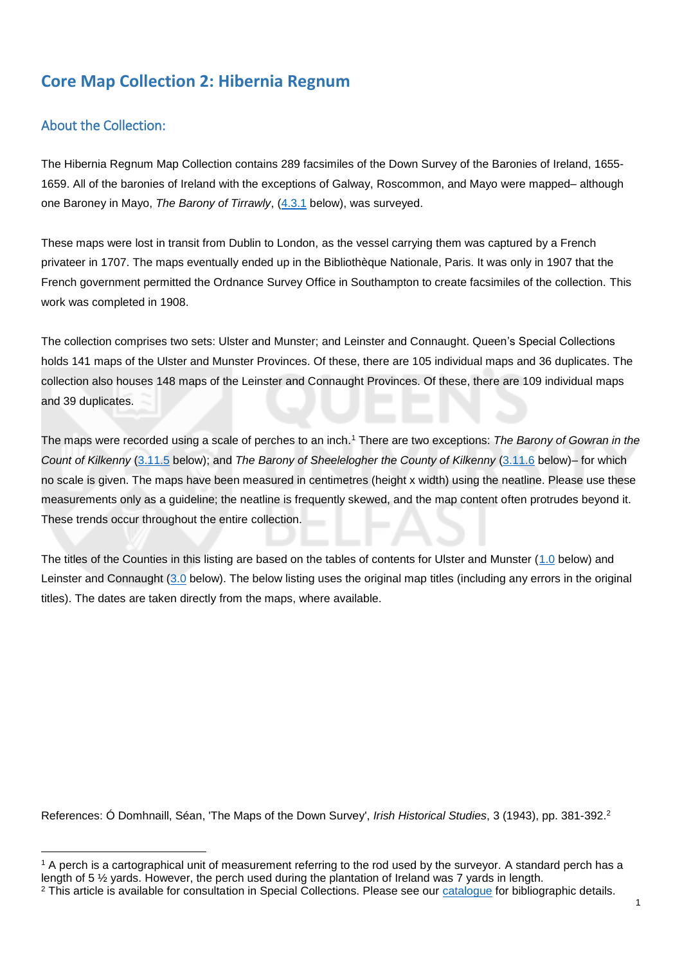#### **Core Map Collection 2: Hibernia Regnum**

#### About the Collection:

The Hibernia Regnum Map Collection contains 289 facsimiles of the Down Survey of the Baronies of Ireland, 1655- 1659. All of the baronies of Ireland with the exceptions of Galway, Roscommon, and Mayo were mapped– although one Baroney in Mayo, *The Barony of Tirrawly*, [\(4.3.1](#page-15-0) below), was surveyed.

These maps were lost in transit from Dublin to London, as the vessel carrying them was captured by a French privateer in 1707. The maps eventually ended up in the Bibliothèque Nationale, Paris. It was only in 1907 that the French government permitted the Ordnance Survey Office in Southampton to create facsimiles of the collection. This work was completed in 1908.

The collection comprises two sets: Ulster and Munster; and Leinster and Connaught. Queen's Special Collections holds 141 maps of the Ulster and Munster Provinces. Of these, there are 105 individual maps and 36 duplicates. The collection also houses 148 maps of the Leinster and Connaught Provinces. Of these, there are 109 individual maps and 39 duplicates.

The maps were recorded using a scale of perches to an inch.<sup>1</sup> There are two exceptions: *The Barony of Gowran in the Count of Kilkenny* [\(3.11.5](#page-13-0) below); and *The Barony of Sheelelogher the County of Kilkenny* [\(3.11.6](#page-13-1) below)– for which no scale is given. The maps have been measured in centimetres (height x width) using the neatline. Please use these measurements only as a guideline; the neatline is frequently skewed, and the map content often protrudes beyond it. These trends occur throughout the entire collection.

The titles of the Counties in this listing are based on the tables of contents for Ulster and Munster [\(1.0](#page-2-0) below) and Leinster and Connaught [\(3.0](#page-9-0) below). The below listing uses the original map titles (including any errors in the original titles). The dates are taken directly from the maps, where available.

References: Ó Domhnaill, Séan, 'The Maps of the Down Survey', *Irish Historical Studies*, 3 (1943), pp. 381-392.<sup>2</sup>

**<sup>.</sup>** <sup>1</sup> A perch is a cartographical unit of measurement referring to the rod used by the surveyor. A standard perch has a length of 5 ½ yards. However, the perch used during the plantation of Ireland was 7 yards in length.

<sup>&</sup>lt;sup>2</sup> This article is available for consultation in Special Collections. Please see our [catalogue](https://encore.qub.ac.uk/iii/encore/record/C__Rb1404999) for bibliographic details.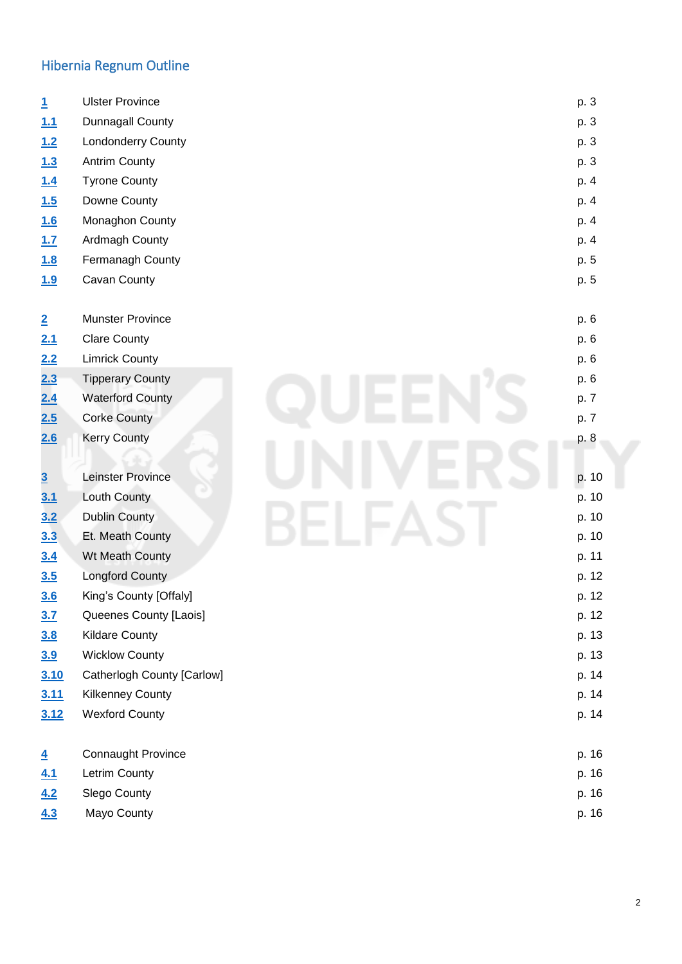### Hibernia Regnum Outline

<span id="page-1-0"></span>

| $\mathbf{1}$   | <b>Ulster Province</b>     |  | p. 3  |
|----------------|----------------------------|--|-------|
| 1.1            | Dunnagall County           |  | p. 3  |
| 1.2            | Londonderry County         |  | p. 3  |
| 1.3            | <b>Antrim County</b>       |  | p. 3  |
| 1.4            | <b>Tyrone County</b>       |  | p. 4  |
| 1.5            | Downe County               |  | p. 4  |
| 1.6            | Monaghon County            |  | p. 4  |
| 1.7            | Ardmagh County             |  | p. 4  |
| 1.8            | Fermanagh County           |  | p. 5  |
| 1.9            | Cavan County               |  | p. 5  |
| $\overline{2}$ | <b>Munster Province</b>    |  | p. 6  |
| 2.1            | <b>Clare County</b>        |  | p. 6  |
| 2.2            | <b>Limrick County</b>      |  | p. 6  |
| 2.3            | <b>Tipperary County</b>    |  | p. 6  |
| 2.4            | <b>Waterford County</b>    |  | p. 7  |
| 2.5            | <b>Corke County</b>        |  | p. 7  |
| 2.6            | <b>Kerry County</b>        |  | p. 8  |
|                |                            |  |       |
| $\overline{3}$ | Leinster Province          |  | p. 10 |
| 3.1            | Louth County               |  | p. 10 |
| 3.2            | <b>Dublin County</b>       |  | p. 10 |
| 3.3            | Et. Meath County           |  |       |
| 3.4            | Wt Meath County            |  | p. 11 |
| 3.5            | Longford County            |  | p. 12 |
| 3.6            | King's County [Offaly]     |  | p. 12 |
| 3.7            | Queenes County [Laois]     |  | p. 12 |
| 3.8            | <b>Kildare County</b>      |  | p. 13 |
| 3.9            | <b>Wicklow County</b>      |  | p. 13 |
| 3.10           | Catherlogh County [Carlow] |  | p. 14 |
| 3.11           | <b>Kilkenney County</b>    |  | p. 14 |
| 3.12           | <b>Wexford County</b>      |  | p. 14 |
| $\overline{4}$ | <b>Connaught Province</b>  |  | p. 16 |
| 4.1            | Letrim County              |  | p. 16 |
| 4.2            | Slego County               |  | p. 16 |
| 4.3            | Mayo County                |  | p. 16 |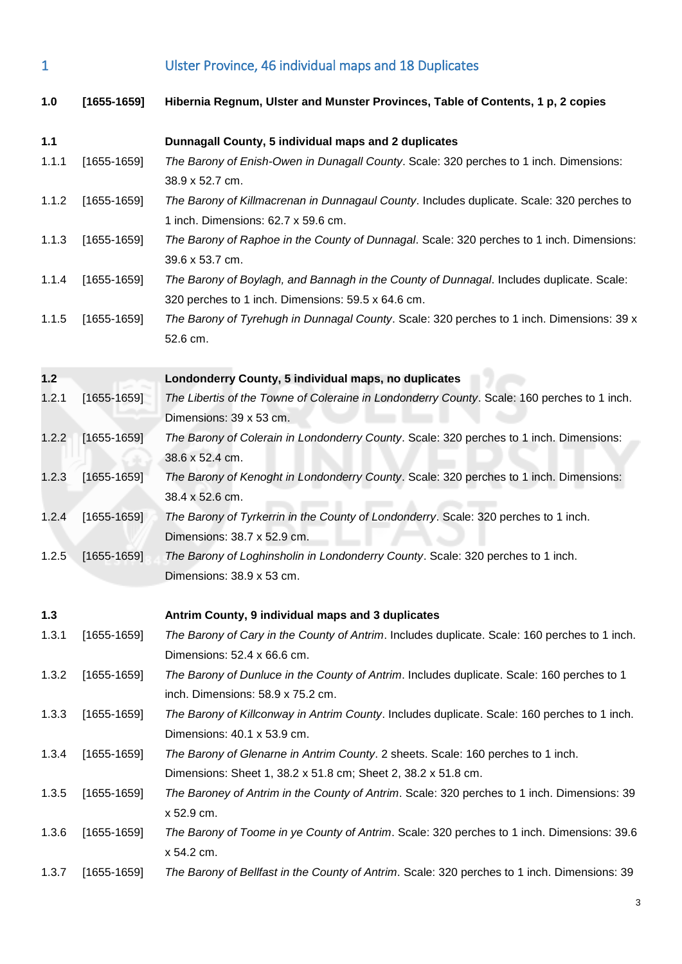1 Ulster Province, 46 individual maps and 18 Duplicates

<span id="page-2-3"></span><span id="page-2-2"></span><span id="page-2-1"></span><span id="page-2-0"></span>

| 1.0   | $[1655-1659]$   | Hibernia Regnum, Ulster and Munster Provinces, Table of Contents, 1 p, 2 copies                                                                   |
|-------|-----------------|---------------------------------------------------------------------------------------------------------------------------------------------------|
| 1.1   |                 | Dunnagall County, 5 individual maps and 2 duplicates                                                                                              |
| 1.1.1 | $[1655-1659]$   | The Barony of Enish-Owen in Dunagall County. Scale: 320 perches to 1 inch. Dimensions:<br>38.9 x 52.7 cm.                                         |
| 1.1.2 | $[1655-1659]$   | The Barony of Killmacrenan in Dunnagaul County. Includes duplicate. Scale: 320 perches to<br>1 inch. Dimensions: 62.7 x 59.6 cm.                  |
| 1.1.3 | $[1655-1659]$   | The Barony of Raphoe in the County of Dunnagal. Scale: 320 perches to 1 inch. Dimensions:<br>39.6 x 53.7 cm.                                      |
| 1.1.4 | $[1655-1659]$   | The Barony of Boylagh, and Bannagh in the County of Dunnagal. Includes duplicate. Scale:<br>320 perches to 1 inch. Dimensions: 59.5 x 64.6 cm.    |
| 1.1.5 | $[1655-1659]$   | The Barony of Tyrehugh in Dunnagal County. Scale: 320 perches to 1 inch. Dimensions: 39 x<br>52.6 cm.                                             |
| 1.2   |                 | Londonderry County, 5 individual maps, no duplicates                                                                                              |
| 1.2.1 | $[1655-1659]$   | The Libertis of the Towne of Coleraine in Londonderry County. Scale: 160 perches to 1 inch.<br>Dimensions: 39 x 53 cm.                            |
| 1.2.2 | $[1655-1659]$   | The Barony of Colerain in Londonderry County. Scale: 320 perches to 1 inch. Dimensions:<br>38.6 x 52.4 cm.                                        |
| 1.2.3 | $[1655 - 1659]$ | The Barony of Kenoght in Londonderry County. Scale: 320 perches to 1 inch. Dimensions:<br>38.4 x 52.6 cm.                                         |
| 1.2.4 | $[1655-1659]$   | The Barony of Tyrkerrin in the County of Londonderry. Scale: 320 perches to 1 inch.<br>Dimensions: 38.7 x 52.9 cm.                                |
| 1.2.5 | $[1655-1659]$   | The Barony of Loghinsholin in Londonderry County. Scale: 320 perches to 1 inch.<br>Dimensions: 38.9 x 53 cm.                                      |
| 1.3   |                 | Antrim County, 9 individual maps and 3 duplicates                                                                                                 |
| 1.3.1 | $[1655-1659]$   | The Barony of Cary in the County of Antrim. Includes duplicate. Scale: 160 perches to 1 inch.<br>Dimensions: 52.4 x 66.6 cm.                      |
| 1.3.2 | $[1655-1659]$   | The Barony of Dunluce in the County of Antrim. Includes duplicate. Scale: 160 perches to 1<br>inch. Dimensions: 58.9 x 75.2 cm.                   |
| 1.3.3 | $[1655-1659]$   | The Barony of Killconway in Antrim County. Includes duplicate. Scale: 160 perches to 1 inch.<br>Dimensions: 40.1 x 53.9 cm.                       |
| 1.3.4 | $[1655-1659]$   | The Barony of Glenarne in Antrim County. 2 sheets. Scale: 160 perches to 1 inch.<br>Dimensions: Sheet 1, 38.2 x 51.8 cm; Sheet 2, 38.2 x 51.8 cm. |
| 1.3.5 | $[1655-1659]$   | The Baroney of Antrim in the County of Antrim. Scale: 320 perches to 1 inch. Dimensions: 39<br>x 52.9 cm.                                         |
| 1.3.6 | $[1655-1659]$   | The Barony of Toome in ye County of Antrim. Scale: 320 perches to 1 inch. Dimensions: 39.6<br>x 54.2 cm.                                          |
| 1.3.7 | $[1655-1659]$   | The Barony of Bellfast in the County of Antrim. Scale: 320 perches to 1 inch. Dimensions: 39                                                      |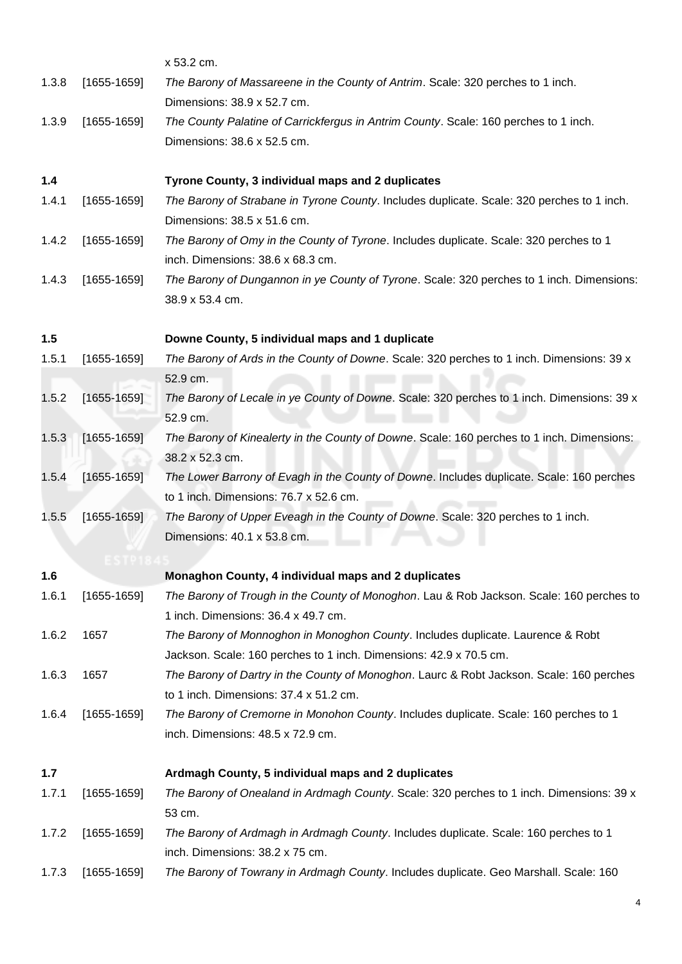<span id="page-3-3"></span><span id="page-3-2"></span><span id="page-3-1"></span><span id="page-3-0"></span>

|       |               | x 53.2 cm.                                                                                                                      |
|-------|---------------|---------------------------------------------------------------------------------------------------------------------------------|
| 1.3.8 | $[1655-1659]$ | The Barony of Massareene in the County of Antrim. Scale: 320 perches to 1 inch.<br>Dimensions: 38.9 x 52.7 cm.                  |
| 1.3.9 | $[1655-1659]$ | The County Palatine of Carrickfergus in Antrim County. Scale: 160 perches to 1 inch.                                            |
|       |               | Dimensions: 38.6 x 52.5 cm.                                                                                                     |
|       |               |                                                                                                                                 |
| 1.4   |               | Tyrone County, 3 individual maps and 2 duplicates                                                                               |
| 1.4.1 | $[1655-1659]$ | The Barony of Strabane in Tyrone County. Includes duplicate. Scale: 320 perches to 1 inch.<br>Dimensions: 38.5 x 51.6 cm.       |
| 1.4.2 | $[1655-1659]$ | The Barony of Omy in the County of Tyrone. Includes duplicate. Scale: 320 perches to 1                                          |
|       |               | inch. Dimensions: 38.6 x 68.3 cm.                                                                                               |
| 1.4.3 | $[1655-1659]$ | The Barony of Dungannon in ye County of Tyrone. Scale: 320 perches to 1 inch. Dimensions:<br>38.9 x 53.4 cm.                    |
| 1.5   |               | Downe County, 5 individual maps and 1 duplicate                                                                                 |
| 1.5.1 | $[1655-1659]$ | The Barony of Ards in the County of Downe. Scale: 320 perches to 1 inch. Dimensions: 39 x                                       |
|       |               | 52.9 cm.                                                                                                                        |
| 1.5.2 | $[1655-1659]$ | The Barony of Lecale in ye County of Downe. Scale: 320 perches to 1 inch. Dimensions: 39 x                                      |
|       |               | 52.9 cm.                                                                                                                        |
| 1.5.3 | $[1655-1659]$ | The Barony of Kinealerty in the County of Downe. Scale: 160 perches to 1 inch. Dimensions:                                      |
|       |               | 38.2 x 52.3 cm.                                                                                                                 |
| 1.5.4 | $[1655-1659]$ | The Lower Barrony of Evagh in the County of Downe. Includes duplicate. Scale: 160 perches                                       |
|       |               | to 1 inch. Dimensions: 76.7 x 52.6 cm.                                                                                          |
| 1.5.5 | $[1655-1659]$ | The Barony of Upper Eveagh in the County of Downe. Scale: 320 perches to 1 inch.                                                |
|       |               | Dimensions: 40.1 x 53.8 cm.                                                                                                     |
|       |               |                                                                                                                                 |
| 1.6   |               | Monaghon County, 4 individual maps and 2 duplicates                                                                             |
| 1.6.1 | $[1655-1659]$ | The Barony of Trough in the County of Monoghon. Lau & Rob Jackson. Scale: 160 perches to<br>1 inch. Dimensions: 36.4 x 49.7 cm. |
| 1.6.2 | 1657          | The Barony of Monnoghon in Monoghon County. Includes duplicate. Laurence & Robt                                                 |
|       |               | Jackson. Scale: 160 perches to 1 inch. Dimensions: 42.9 x 70.5 cm.                                                              |
| 1.6.3 | 1657          | The Barony of Dartry in the County of Monoghon. Laurc & Robt Jackson. Scale: 160 perches                                        |
|       |               | to 1 inch. Dimensions: 37.4 x 51.2 cm.                                                                                          |
| 1.6.4 | $[1655-1659]$ | The Barony of Cremorne in Monohon County. Includes duplicate. Scale: 160 perches to 1                                           |
|       |               | inch. Dimensions: 48.5 x 72.9 cm.                                                                                               |
| 1.7   |               | Ardmagh County, 5 individual maps and 2 duplicates                                                                              |
| 1.7.1 | $[1655-1659]$ | The Barony of Onealand in Ardmagh County. Scale: 320 perches to 1 inch. Dimensions: 39 x                                        |
|       |               | 53 cm.                                                                                                                          |
| 1.7.2 | $[1655-1659]$ | The Barony of Ardmagh in Ardmagh County. Includes duplicate. Scale: 160 perches to 1                                            |
|       |               | inch. Dimensions: 38.2 x 75 cm.                                                                                                 |
| 1.7.3 | $[1655-1659]$ | The Barony of Towrany in Ardmagh County. Includes duplicate. Geo Marshall. Scale: 160                                           |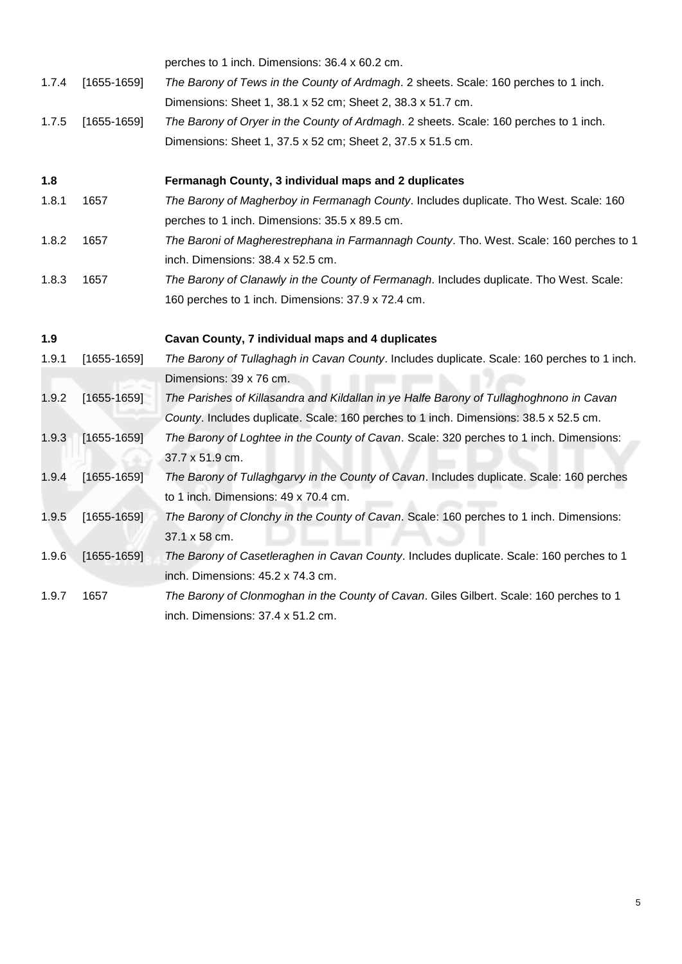<span id="page-4-1"></span><span id="page-4-0"></span>

|       |               | perches to 1 inch. Dimensions: 36.4 x 60.2 cm.                                              |
|-------|---------------|---------------------------------------------------------------------------------------------|
| 1.7.4 | $[1655-1659]$ | The Barony of Tews in the County of Ardmagh. 2 sheets. Scale: 160 perches to 1 inch.        |
|       |               | Dimensions: Sheet 1, 38.1 x 52 cm; Sheet 2, 38.3 x 51.7 cm.                                 |
| 1.7.5 | $[1655-1659]$ | The Barony of Oryer in the County of Ardmagh. 2 sheets. Scale: 160 perches to 1 inch.       |
|       |               | Dimensions: Sheet 1, 37.5 x 52 cm; Sheet 2, 37.5 x 51.5 cm.                                 |
| 1.8   |               | Fermanagh County, 3 individual maps and 2 duplicates                                        |
| 1.8.1 | 1657          | The Barony of Magherboy in Fermanagh County. Includes duplicate. Tho West. Scale: 160       |
|       |               | perches to 1 inch. Dimensions: 35.5 x 89.5 cm.                                              |
| 1.8.2 | 1657          | The Baroni of Magherestrephana in Farmannagh County. Tho. West. Scale: 160 perches to 1     |
|       |               | inch. Dimensions: 38.4 x 52.5 cm.                                                           |
| 1.8.3 | 1657          | The Barony of Clanawly in the County of Fermanagh. Includes duplicate. Tho West. Scale:     |
|       |               | 160 perches to 1 inch. Dimensions: 37.9 x 72.4 cm.                                          |
| 1.9   |               | Cavan County, 7 individual maps and 4 duplicates                                            |
| 1.9.1 | $[1655-1659]$ | The Barony of Tullaghagh in Cavan County. Includes duplicate. Scale: 160 perches to 1 inch. |
|       |               | Dimensions: 39 x 76 cm.                                                                     |
| 1.9.2 | $[1655-1659]$ | The Parishes of Killasandra and Kildallan in ye Halfe Barony of Tullaghoghnono in Cavan     |
|       |               | County. Includes duplicate. Scale: 160 perches to 1 inch. Dimensions: 38.5 x 52.5 cm.       |
| 1.9.3 | $[1655-1659]$ | The Barony of Loghtee in the County of Cavan. Scale: 320 perches to 1 inch. Dimensions:     |
|       |               | 37.7 x 51.9 cm.                                                                             |
| 1.9.4 | $[1655-1659]$ | The Barony of Tullaghgarvy in the County of Cavan. Includes duplicate. Scale: 160 perches   |
|       |               | to 1 inch. Dimensions: 49 x 70.4 cm.                                                        |
| 1.9.5 | $[1655-1659]$ | The Barony of Clonchy in the County of Cavan. Scale: 160 perches to 1 inch. Dimensions:     |
|       |               | 37.1 x 58 cm.                                                                               |
| 1.9.6 | $[1655-1659]$ | The Barony of Casetleraghen in Cavan County. Includes duplicate. Scale: 160 perches to 1    |
|       |               | inch. Dimensions: 45.2 x 74.3 cm.                                                           |
| 1.9.7 | 1657          | The Barony of Clonmoghan in the County of Cavan. Giles Gilbert. Scale: 160 perches to 1     |
|       |               | inch. Dimensions: 37.4 x 51.2 cm.                                                           |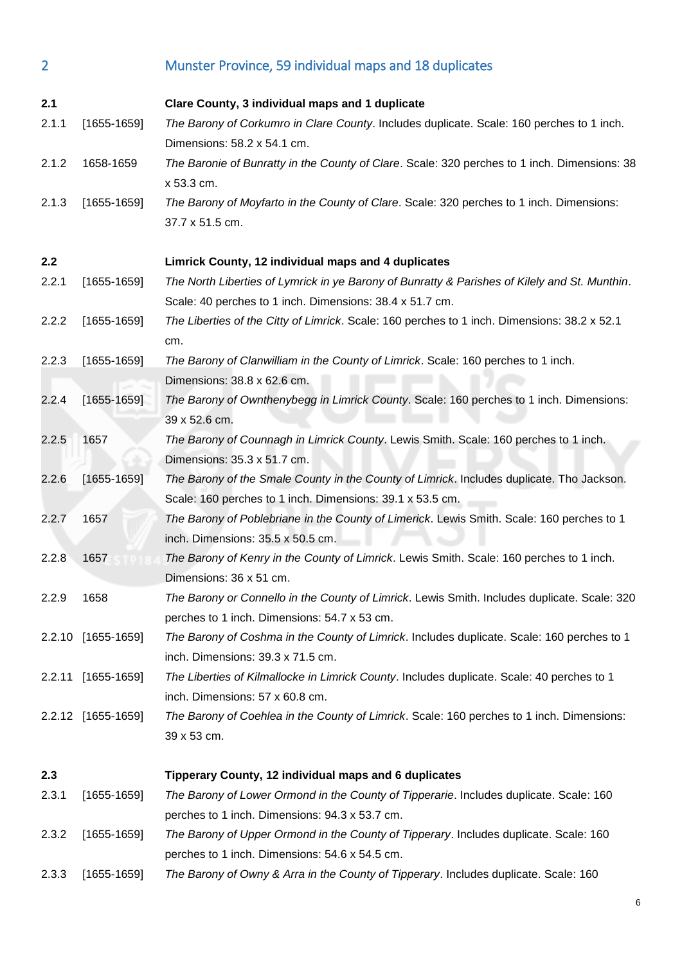<span id="page-5-3"></span><span id="page-5-2"></span><span id="page-5-1"></span><span id="page-5-0"></span>

| $\overline{2}$ |                    | Munster Province, 59 individual maps and 18 duplicates                                                                                       |
|----------------|--------------------|----------------------------------------------------------------------------------------------------------------------------------------------|
|                |                    |                                                                                                                                              |
| 2.1            |                    | Clare County, 3 individual maps and 1 duplicate<br>The Barony of Corkumro in Clare County. Includes duplicate. Scale: 160 perches to 1 inch. |
| 2.1.1          | $[1655-1659]$      | Dimensions: 58.2 x 54.1 cm.                                                                                                                  |
| 2.1.2          | 1658-1659          | The Baronie of Bunratty in the County of Clare. Scale: 320 perches to 1 inch. Dimensions: 38<br>x 53.3 cm.                                   |
| 2.1.3          | $[1655-1659]$      | The Barony of Moyfarto in the County of Clare. Scale: 320 perches to 1 inch. Dimensions:                                                     |
|                |                    | 37.7 x 51.5 cm.                                                                                                                              |
| 2.2            |                    | Limrick County, 12 individual maps and 4 duplicates                                                                                          |
| 2.2.1          | $[1655-1659]$      | The North Liberties of Lymrick in ye Barony of Bunratty & Parishes of Kilely and St. Munthin.                                                |
|                |                    | Scale: 40 perches to 1 inch. Dimensions: 38.4 x 51.7 cm.                                                                                     |
| 2.2.2          | $[1655-1659]$      | The Liberties of the Citty of Limrick. Scale: 160 perches to 1 inch. Dimensions: 38.2 x 52.1<br>cm.                                          |
| 2.2.3          | $[1655-1659]$      | The Barony of Clanwilliam in the County of Limrick. Scale: 160 perches to 1 inch.                                                            |
|                |                    | Dimensions: 38.8 x 62.6 cm.                                                                                                                  |
| 2.2.4          | $[1655-1659]$      | The Barony of Ownthenybegg in Limrick County. Scale: 160 perches to 1 inch. Dimensions:                                                      |
|                |                    | 39 x 52.6 cm.                                                                                                                                |
| 2.2.5          | 1657               | The Barony of Counnagh in Limrick County. Lewis Smith. Scale: 160 perches to 1 inch.                                                         |
|                |                    | Dimensions: 35.3 x 51.7 cm.                                                                                                                  |
| 2.2.6          | $[1655-1659]$      | The Barony of the Smale County in the County of Limrick. Includes duplicate. Tho Jackson.                                                    |
|                |                    | Scale: 160 perches to 1 inch. Dimensions: 39.1 x 53.5 cm.                                                                                    |
| 2.2.7          | 1657               | The Barony of Poblebriane in the County of Limerick. Lewis Smith. Scale: 160 perches to 1                                                    |
|                |                    | inch. Dimensions: 35.5 x 50.5 cm.                                                                                                            |
| 2.2.8          | 1657               | The Barony of Kenry in the County of Limrick. Lewis Smith. Scale: 160 perches to 1 inch.<br>Dimensions: 36 x 51 cm.                          |
| 2.2.9          | 1658               | The Barony or Connello in the County of Limrick. Lewis Smith. Includes duplicate. Scale: 320                                                 |
|                |                    | perches to 1 inch. Dimensions: 54.7 x 53 cm.                                                                                                 |
|                | 2.2.10 [1655-1659] | The Barony of Coshma in the County of Limrick. Includes duplicate. Scale: 160 perches to 1                                                   |
|                |                    | inch. Dimensions: 39.3 x 71.5 cm.                                                                                                            |
| 2.2.11         | $[1655-1659]$      | The Liberties of Kilmallocke in Limrick County. Includes duplicate. Scale: 40 perches to 1                                                   |
|                |                    | inch. Dimensions: 57 x 60.8 cm.                                                                                                              |
|                | 2.2.12 [1655-1659] | The Barony of Coehlea in the County of Limrick. Scale: 160 perches to 1 inch. Dimensions:                                                    |
|                |                    | 39 x 53 cm.                                                                                                                                  |
| 2.3            |                    | Tipperary County, 12 individual maps and 6 duplicates                                                                                        |
| 2.3.1          | $[1655-1659]$      | The Barony of Lower Ormond in the County of Tipperarie. Includes duplicate. Scale: 160                                                       |
|                |                    | perches to 1 inch. Dimensions: 94.3 x 53.7 cm.                                                                                               |
| 2.3.2          | $[1655-1659]$      | The Barony of Upper Ormond in the County of Tipperary. Includes duplicate. Scale: 160                                                        |
|                |                    | perches to 1 inch. Dimensions: 54.6 x 54.5 cm.                                                                                               |
| 2.3.3          | $[1655-1659]$      | The Barony of Owny & Arra in the County of Tipperary. Includes duplicate. Scale: 160                                                         |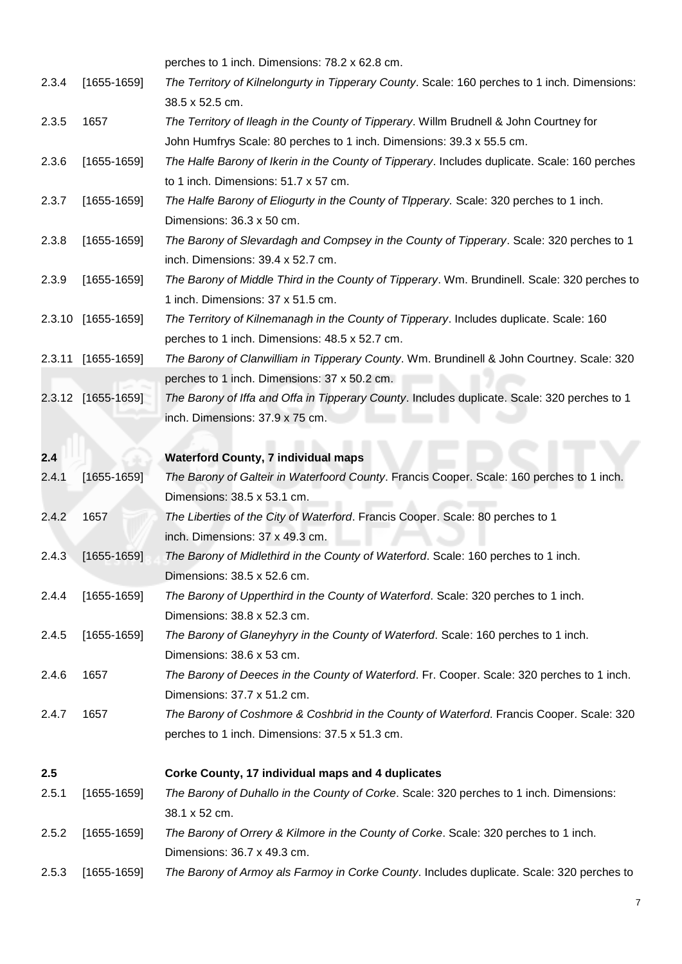<span id="page-6-1"></span><span id="page-6-0"></span>

|        |                    | perches to 1 inch. Dimensions: 78.2 x 62.8 cm.                                                |
|--------|--------------------|-----------------------------------------------------------------------------------------------|
| 2.3.4  | $[1655-1659]$      | The Territory of Kilnelongurty in Tipperary County. Scale: 160 perches to 1 inch. Dimensions: |
|        |                    | 38.5 x 52.5 cm.                                                                               |
| 2.3.5  | 1657               | The Territory of Ileagh in the County of Tipperary. Willm Brudnell & John Courtney for        |
|        |                    | John Humfrys Scale: 80 perches to 1 inch. Dimensions: 39.3 x 55.5 cm.                         |
| 2.3.6  | $[1655-1659]$      | The Halfe Barony of Ikerin in the County of Tipperary. Includes duplicate. Scale: 160 perches |
|        |                    | to 1 inch. Dimensions: 51.7 x 57 cm.                                                          |
| 2.3.7  | $[1655-1659]$      | The Halfe Barony of Eliogurty in the County of Tipperary. Scale: 320 perches to 1 inch.       |
|        |                    | Dimensions: 36.3 x 50 cm.                                                                     |
| 2.3.8  | $[1655-1659]$      | The Barony of Slevardagh and Compsey in the County of Tipperary. Scale: 320 perches to 1      |
|        |                    | inch. Dimensions: 39.4 x 52.7 cm.                                                             |
| 2.3.9  | $[1655-1659]$      | The Barony of Middle Third in the County of Tipperary. Wm. Brundinell. Scale: 320 perches to  |
|        |                    | 1 inch. Dimensions: 37 x 51.5 cm.                                                             |
| 2.3.10 | $[1655-1659]$      | The Territory of Kilnemanagh in the County of Tipperary. Includes duplicate. Scale: 160       |
|        |                    | perches to 1 inch. Dimensions: 48.5 x 52.7 cm.                                                |
|        | 2.3.11 [1655-1659] | The Barony of Clanwilliam in Tipperary County. Wm. Brundinell & John Courtney. Scale: 320     |
|        |                    | perches to 1 inch. Dimensions: 37 x 50.2 cm.                                                  |
|        | 2.3.12 [1655-1659] | The Barony of Iffa and Offa in Tipperary County. Includes duplicate. Scale: 320 perches to 1  |
|        |                    | inch. Dimensions: 37.9 x 75 cm.                                                               |
|        |                    |                                                                                               |
| 2.4    |                    | <b>Waterford County, 7 individual maps</b>                                                    |
| 2.4.1  | $[1655 - 1659]$    | The Barony of Galteir in Waterfoord County. Francis Cooper. Scale: 160 perches to 1 inch.     |
|        |                    | Dimensions: 38.5 x 53.1 cm.                                                                   |
| 2.4.2  | 1657               | The Liberties of the City of Waterford. Francis Cooper. Scale: 80 perches to 1                |
|        |                    | inch. Dimensions: 37 x 49.3 cm.                                                               |
| 2.4.3  | $[1655-1659]$      | The Barony of Midlethird in the County of Waterford. Scale: 160 perches to 1 inch.            |
|        |                    | Dimensions: 38.5 x 52.6 cm.                                                                   |
| 2.4.4  | $[1655-1659]$      | The Barony of Upperthird in the County of Waterford. Scale: 320 perches to 1 inch.            |
|        |                    | Dimensions: 38.8 x 52.3 cm.                                                                   |
| 2.4.5  | $[1655-1659]$      | The Barony of Glaneyhyry in the County of Waterford. Scale: 160 perches to 1 inch.            |
|        |                    | Dimensions: 38.6 x 53 cm.                                                                     |
| 2.4.6  | 1657               | The Barony of Deeces in the County of Waterford. Fr. Cooper. Scale: 320 perches to 1 inch.    |
|        |                    | Dimensions: 37.7 x 51.2 cm.                                                                   |
| 2.4.7  | 1657               | The Barony of Coshmore & Coshbrid in the County of Waterford. Francis Cooper. Scale: 320      |
|        |                    | perches to 1 inch. Dimensions: 37.5 x 51.3 cm.                                                |
| 2.5    |                    | Corke County, 17 individual maps and 4 duplicates                                             |
| 2.5.1  | $[1655-1659]$      | The Barony of Duhallo in the County of Corke. Scale: 320 perches to 1 inch. Dimensions:       |
|        |                    | 38.1 x 52 cm.                                                                                 |
| 2.5.2  | $[1655-1659]$      | The Barony of Orrery & Kilmore in the County of Corke. Scale: 320 perches to 1 inch.          |
|        |                    | Dimensions: 36.7 x 49.3 cm.                                                                   |
| 2.5.3  | $[1655-1659]$      | The Barony of Armoy als Farmoy in Corke County. Includes duplicate. Scale: 320 perches to     |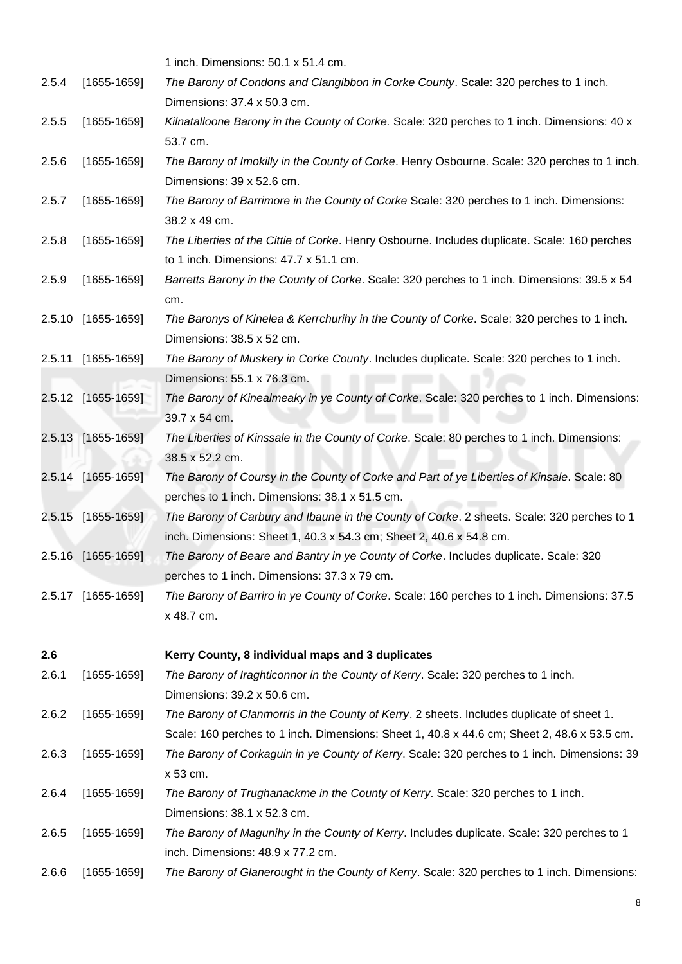<span id="page-7-0"></span>

|       |                    | 1 inch. Dimensions: 50.1 x 51.4 cm.                                                                                                          |
|-------|--------------------|----------------------------------------------------------------------------------------------------------------------------------------------|
| 2.5.4 | $[1655-1659]$      | The Barony of Condons and Clangibbon in Corke County. Scale: 320 perches to 1 inch.                                                          |
|       |                    | Dimensions: 37.4 x 50.3 cm.                                                                                                                  |
| 2.5.5 | $[1655-1659]$      | Kilnatalloone Barony in the County of Corke. Scale: 320 perches to 1 inch. Dimensions: 40 x                                                  |
|       |                    | 53.7 cm.                                                                                                                                     |
| 2.5.6 | $[1655-1659]$      | The Barony of Imokilly in the County of Corke. Henry Osbourne. Scale: 320 perches to 1 inch.<br>Dimensions: 39 x 52.6 cm.                    |
| 2.5.7 | $[1655-1659]$      | The Barony of Barrimore in the County of Corke Scale: 320 perches to 1 inch. Dimensions:<br>38.2 x 49 cm.                                    |
| 2.5.8 | $[1655-1659]$      | The Liberties of the Cittie of Corke. Henry Osbourne. Includes duplicate. Scale: 160 perches                                                 |
|       |                    | to 1 inch. Dimensions: 47.7 x 51.1 cm.                                                                                                       |
| 2.5.9 | $[1655-1659]$      | Barretts Barony in the County of Corke. Scale: 320 perches to 1 inch. Dimensions: 39.5 x 54<br>cm.                                           |
|       | 2.5.10 [1655-1659] | The Baronys of Kinelea & Kerrchurihy in the County of Corke. Scale: 320 perches to 1 inch.<br>Dimensions: 38.5 x 52 cm.                      |
|       | 2.5.11 [1655-1659] | The Barony of Muskery in Corke County. Includes duplicate. Scale: 320 perches to 1 inch.                                                     |
|       |                    | Dimensions: 55.1 x 76.3 cm.                                                                                                                  |
|       | 2.5.12 [1655-1659] | The Barony of Kinealmeaky in ye County of Corke. Scale: 320 perches to 1 inch. Dimensions:<br>39.7 x 54 cm.                                  |
|       | 2.5.13 [1655-1659] | The Liberties of Kinssale in the County of Corke. Scale: 80 perches to 1 inch. Dimensions:<br>38.5 x 52.2 cm.                                |
|       | 2.5.14 [1655-1659] | The Barony of Coursy in the County of Corke and Part of ye Liberties of Kinsale. Scale: 80<br>perches to 1 inch. Dimensions: 38.1 x 51.5 cm. |
|       | 2.5.15 [1655-1659] | The Barony of Carbury and Ibaune in the County of Corke. 2 sheets. Scale: 320 perches to 1                                                   |
|       |                    | inch. Dimensions: Sheet 1, 40.3 x 54.3 cm; Sheet 2, 40.6 x 54.8 cm.                                                                          |
|       | 2.5.16 [1655-1659] | The Barony of Beare and Bantry in ye County of Corke. Includes duplicate. Scale: 320                                                         |
|       |                    | perches to 1 inch. Dimensions: 37.3 x 79 cm.                                                                                                 |
|       | 2.5.17 [1655-1659] | The Barony of Barriro in ye County of Corke. Scale: 160 perches to 1 inch. Dimensions: 37.5<br>x 48.7 cm.                                    |
| 2.6   |                    | Kerry County, 8 individual maps and 3 duplicates                                                                                             |
| 2.6.1 | $[1655-1659]$      | The Barony of Iraghticonnor in the County of Kerry. Scale: 320 perches to 1 inch.<br>Dimensions: 39.2 x 50.6 cm.                             |
| 2.6.2 | $[1655-1659]$      | The Barony of Clanmorris in the County of Kerry. 2 sheets. Includes duplicate of sheet 1.                                                    |
|       |                    | Scale: 160 perches to 1 inch. Dimensions: Sheet 1, 40.8 x 44.6 cm; Sheet 2, 48.6 x 53.5 cm.                                                  |
| 2.6.3 | $[1655-1659]$      | The Barony of Corkaguin in ye County of Kerry. Scale: 320 perches to 1 inch. Dimensions: 39<br>x 53 cm.                                      |
| 2.6.4 | $[1655-1659]$      | The Barony of Trughanackme in the County of Kerry. Scale: 320 perches to 1 inch.                                                             |
|       |                    | Dimensions: 38.1 x 52.3 cm.                                                                                                                  |
| 2.6.5 | $[1655-1659]$      | The Barony of Magunihy in the County of Kerry. Includes duplicate. Scale: 320 perches to 1<br>inch. Dimensions: 48.9 x 77.2 cm.              |
| 2.6.6 | $[1655-1659]$      | The Barony of Glanerought in the County of Kerry. Scale: 320 perches to 1 inch. Dimensions:                                                  |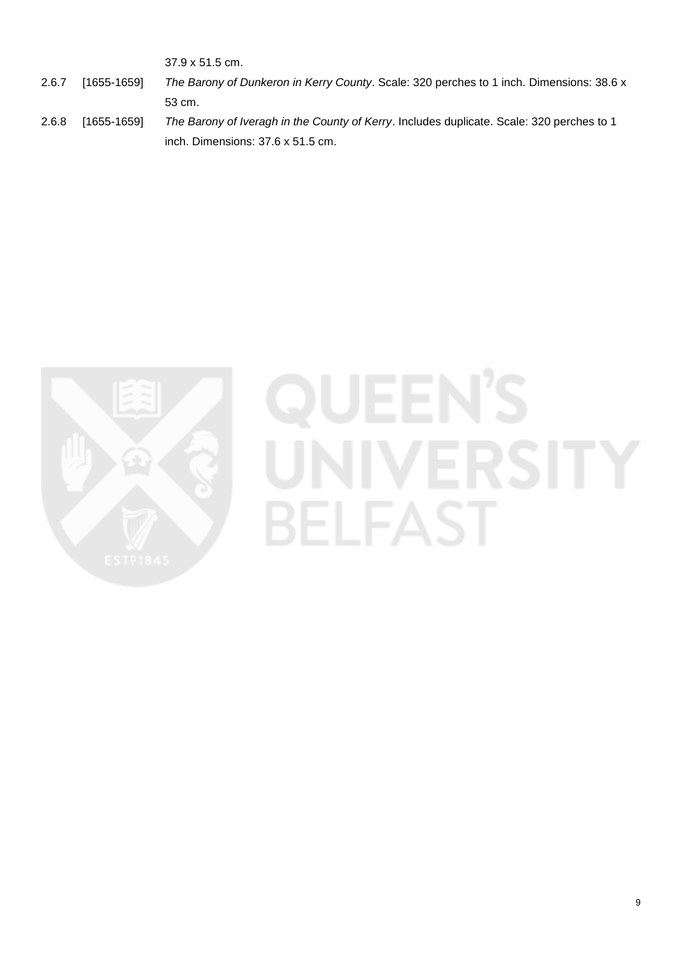37.9 x 51.5 cm.

- 2.6.7 [1655-1659] *The Barony of Dunkeron in Kerry County*. Scale: 320 perches to 1 inch. Dimensions: 38.6 x 53 cm.
- 2.6.8 [1655-1659] *The Barony of Iveragh in the County of Kerry*. Includes duplicate. Scale: 320 perches to 1 inch. Dimensions: 37.6 x 51.5 cm.

<span id="page-8-0"></span>

# JEEN **BELFAST**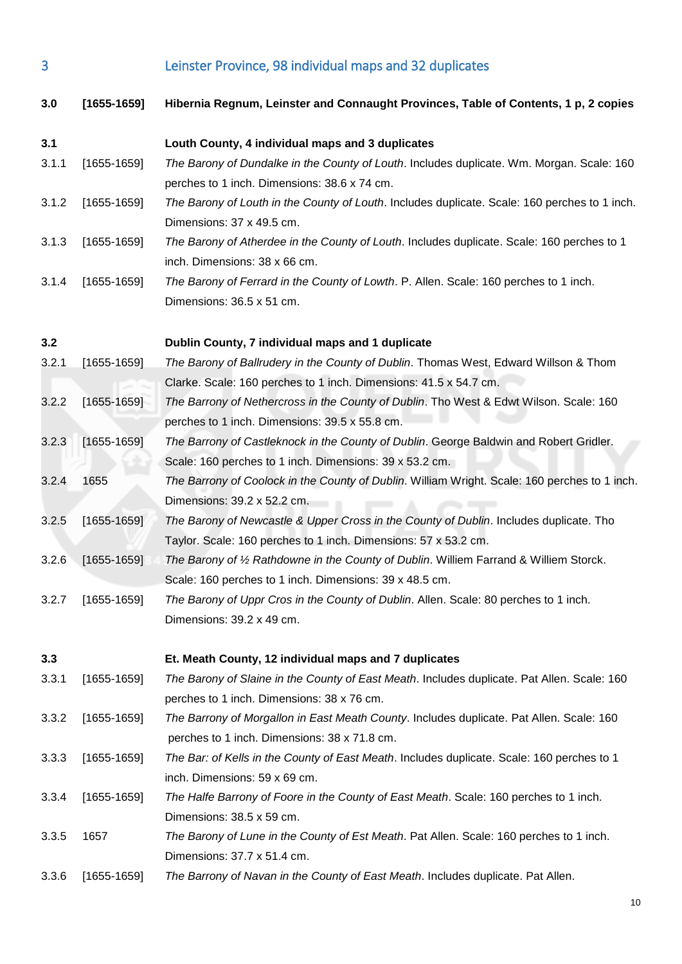3 Leinster Province, 98 individual maps and 32 duplicates

<span id="page-9-3"></span><span id="page-9-2"></span><span id="page-9-1"></span><span id="page-9-0"></span>

| 3.0   | $[1655-1659]$   | Hibernia Regnum, Leinster and Connaught Provinces, Table of Contents, 1 p, 2 copies           |
|-------|-----------------|-----------------------------------------------------------------------------------------------|
| 3.1   |                 | Louth County, 4 individual maps and 3 duplicates                                              |
| 3.1.1 | $[1655-1659]$   | The Barony of Dundalke in the County of Louth. Includes duplicate. Wm. Morgan. Scale: 160     |
|       |                 | perches to 1 inch. Dimensions: 38.6 x 74 cm.                                                  |
| 3.1.2 | $[1655-1659]$   | The Barony of Louth in the County of Louth. Includes duplicate. Scale: 160 perches to 1 inch. |
|       |                 | Dimensions: 37 x 49.5 cm.                                                                     |
| 3.1.3 | $[1655-1659]$   | The Barony of Atherdee in the County of Louth. Includes duplicate. Scale: 160 perches to 1    |
|       |                 | inch. Dimensions: 38 x 66 cm.                                                                 |
| 3.1.4 | $[1655-1659]$   | The Barony of Ferrard in the County of Lowth. P. Allen. Scale: 160 perches to 1 inch.         |
|       |                 | Dimensions: 36.5 x 51 cm.                                                                     |
| 3.2   |                 | Dublin County, 7 individual maps and 1 duplicate                                              |
| 3.2.1 | $[1655-1659]$   | The Barony of Ballrudery in the County of Dublin. Thomas West, Edward Willson & Thom          |
|       |                 | Clarke. Scale: 160 perches to 1 inch. Dimensions: 41.5 x 54.7 cm.                             |
| 3.2.2 | $[1655 - 1659]$ | The Barrony of Nethercross in the County of Dublin. Tho West & Edwt Wilson. Scale: 160        |
|       |                 | perches to 1 inch. Dimensions: 39.5 x 55.8 cm.                                                |
| 3.2.3 | $[1655-1659]$   | The Barrony of Castleknock in the County of Dublin. George Baldwin and Robert Gridler.        |
|       |                 | Scale: 160 perches to 1 inch. Dimensions: 39 x 53.2 cm.                                       |
| 3.2.4 | 1655            | The Barrony of Coolock in the County of Dublin. William Wright. Scale: 160 perches to 1 inch. |
|       |                 | Dimensions: 39.2 x 52.2 cm.                                                                   |
| 3.2.5 | $[1655-1659]$   | The Barony of Newcastle & Upper Cross in the County of Dublin. Includes duplicate. Tho        |
|       |                 | Taylor. Scale: 160 perches to 1 inch. Dimensions: 57 x 53.2 cm.                               |
| 3.2.6 | $[1655-1659]$   | The Barony of 1/2 Rathdowne in the County of Dublin. Williem Farrand & Williem Storck.        |
|       |                 | Scale: 160 perches to 1 inch. Dimensions: 39 x 48.5 cm.                                       |
| 3.2.7 | $[1655-1659]$   | The Barony of Uppr Cros in the County of Dublin. Allen. Scale: 80 perches to 1 inch.          |
|       |                 | Dimensions: 39.2 x 49 cm.                                                                     |
| 3.3   |                 | Et. Meath County, 12 individual maps and 7 duplicates                                         |
| 3.3.1 | $[1655-1659]$   | The Barony of Slaine in the County of East Meath. Includes duplicate. Pat Allen. Scale: 160   |
|       |                 | perches to 1 inch. Dimensions: 38 x 76 cm.                                                    |
| 3.3.2 | $[1655-1659]$   | The Barrony of Morgallon in East Meath County. Includes duplicate. Pat Allen. Scale: 160      |
|       |                 | perches to 1 inch. Dimensions: 38 x 71.8 cm.                                                  |
| 3.3.3 | $[1655-1659]$   | The Bar: of Kells in the County of East Meath. Includes duplicate. Scale: 160 perches to 1    |
|       |                 | inch. Dimensions: 59 x 69 cm.                                                                 |
| 3.3.4 | $[1655-1659]$   | The Halfe Barrony of Foore in the County of East Meath. Scale: 160 perches to 1 inch.         |
|       |                 | Dimensions: 38.5 x 59 cm.                                                                     |
| 3.3.5 | 1657            | The Barony of Lune in the County of Est Meath. Pat Allen. Scale: 160 perches to 1 inch.       |
|       |                 | Dimensions: 37.7 x 51.4 cm.                                                                   |
| 3.3.6 | $[1655-1659]$   | The Barrony of Navan in the County of East Meath. Includes duplicate. Pat Allen.              |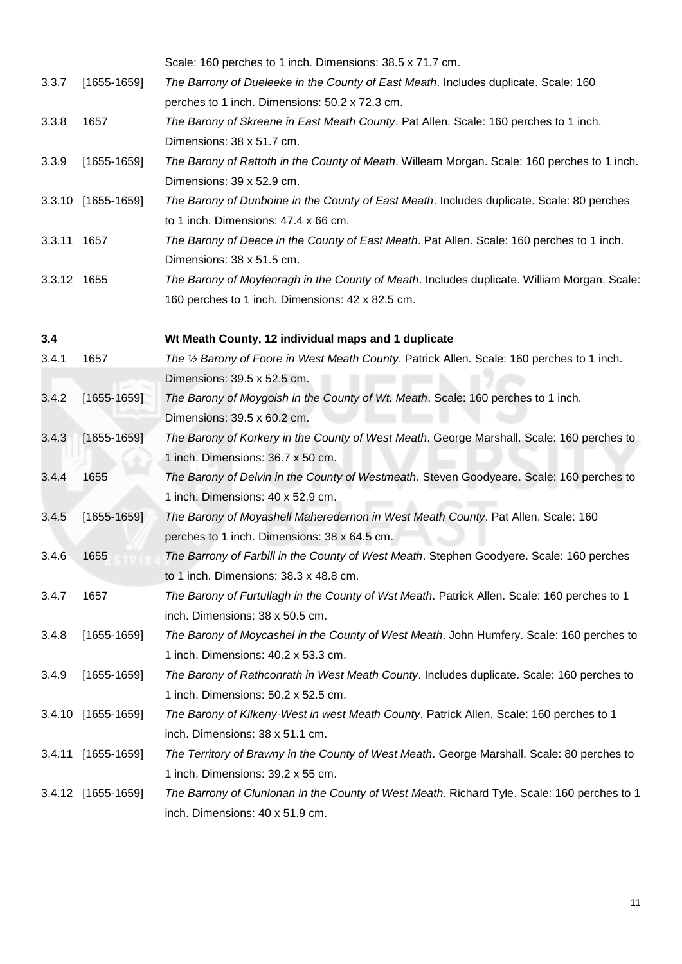<span id="page-10-0"></span>

|             |                    | Scale: 160 perches to 1 inch. Dimensions: 38.5 x 71.7 cm.                                   |
|-------------|--------------------|---------------------------------------------------------------------------------------------|
| 3.3.7       | $[1655-1659]$      | The Barrony of Dueleeke in the County of East Meath. Includes duplicate. Scale: 160         |
|             |                    | perches to 1 inch. Dimensions: 50.2 x 72.3 cm.                                              |
| 3.3.8       | 1657               | The Barony of Skreene in East Meath County. Pat Allen. Scale: 160 perches to 1 inch.        |
|             |                    | Dimensions: 38 x 51.7 cm.                                                                   |
| 3.3.9       | $[1655-1659]$      | The Barony of Rattoth in the County of Meath. Willeam Morgan. Scale: 160 perches to 1 inch. |
|             |                    | Dimensions: 39 x 52.9 cm.                                                                   |
|             | 3.3.10 [1655-1659] | The Barony of Dunboine in the County of East Meath. Includes duplicate. Scale: 80 perches   |
|             |                    | to 1 inch. Dimensions: 47.4 x 66 cm.                                                        |
| 3.3.11 1657 |                    | The Barony of Deece in the County of East Meath. Pat Allen. Scale: 160 perches to 1 inch.   |
|             |                    | Dimensions: 38 x 51.5 cm.                                                                   |
| 3.3.12 1655 |                    | The Barony of Moyfenragh in the County of Meath. Includes duplicate. William Morgan. Scale: |
|             |                    | 160 perches to 1 inch. Dimensions: 42 x 82.5 cm.                                            |
| 3.4         |                    | Wt Meath County, 12 individual maps and 1 duplicate                                         |
| 3.4.1       | 1657               | The 1/2 Barony of Foore in West Meath County. Patrick Allen. Scale: 160 perches to 1 inch.  |
|             |                    | Dimensions: 39.5 x 52.5 cm.                                                                 |
| 3.4.2       | $[1655-1659]$      | The Barony of Moygoish in the County of Wt. Meath. Scale: 160 perches to 1 inch.            |
|             |                    | Dimensions: 39.5 x 60.2 cm.                                                                 |
| 3.4.3       | $[1655-1659]$      | The Barony of Korkery in the County of West Meath. George Marshall. Scale: 160 perches to   |
|             |                    | 1 inch. Dimensions: 36.7 x 50 cm.                                                           |
| 3.4.4       | 1655               | The Barony of Delvin in the County of Westmeath. Steven Goodyeare. Scale: 160 perches to    |
|             |                    | 1 inch. Dimensions: 40 x 52.9 cm.                                                           |
| 3.4.5       | $[1655-1659]$      | The Barony of Moyashell Maheredernon in West Meath County. Pat Allen. Scale: 160            |
|             |                    | perches to 1 inch. Dimensions: 38 x 64.5 cm.                                                |
| 3.4.6       | 1655               | The Barrony of Farbill in the County of West Meath. Stephen Goodyere. Scale: 160 perches    |
|             |                    | to 1 inch. Dimensions: 38.3 x 48.8 cm.                                                      |
| 3.4.7       | 1657               | The Barony of Furtullagh in the County of Wst Meath. Patrick Allen. Scale: 160 perches to 1 |
|             |                    | inch. Dimensions: 38 x 50.5 cm.                                                             |
| 3.4.8       | $[1655-1659]$      | The Barony of Moycashel in the County of West Meath. John Humfery. Scale: 160 perches to    |
|             |                    | 1 inch. Dimensions: 40.2 x 53.3 cm.                                                         |
| 3.4.9       | $[1655-1659]$      | The Barony of Rathconrath in West Meath County. Includes duplicate. Scale: 160 perches to   |
|             |                    | 1 inch. Dimensions: 50.2 x 52.5 cm.                                                         |
|             | 3.4.10 [1655-1659] | The Barony of Kilkeny-West in west Meath County. Patrick Allen. Scale: 160 perches to 1     |
|             |                    | inch. Dimensions: 38 x 51.1 cm.                                                             |
| 3.4.11      | $[1655-1659]$      | The Territory of Brawny in the County of West Meath. George Marshall. Scale: 80 perches to  |
|             |                    | 1 inch. Dimensions: 39.2 x 55 cm.                                                           |
|             | 3.4.12 [1655-1659] | The Barrony of Clunlonan in the County of West Meath. Richard Tyle. Scale: 160 perches to 1 |
|             |                    | inch. Dimensions: 40 x 51.9 cm.                                                             |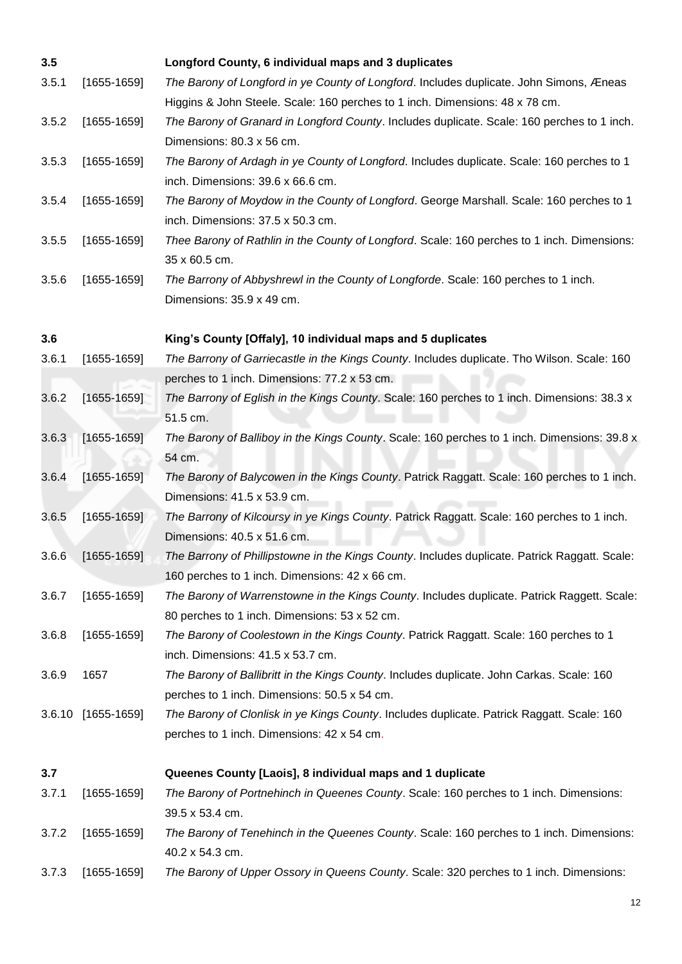<span id="page-11-2"></span><span id="page-11-1"></span><span id="page-11-0"></span>

| 3.5   |                    | Longford County, 6 individual maps and 3 duplicates                                                                                      |
|-------|--------------------|------------------------------------------------------------------------------------------------------------------------------------------|
| 3.5.1 | $[1655-1659]$      | The Barony of Longford in ye County of Longford. Includes duplicate. John Simons, Æneas                                                  |
|       |                    | Higgins & John Steele. Scale: 160 perches to 1 inch. Dimensions: 48 x 78 cm.                                                             |
| 3.5.2 | $[1655-1659]$      | The Barony of Granard in Longford County. Includes duplicate. Scale: 160 perches to 1 inch.                                              |
|       |                    | Dimensions: 80.3 x 56 cm.                                                                                                                |
| 3.5.3 | $[1655-1659]$      | The Barony of Ardagh in ye County of Longford. Includes duplicate. Scale: 160 perches to 1<br>inch. Dimensions: 39.6 x 66.6 cm.          |
| 3.5.4 | $[1655-1659]$      | The Barony of Moydow in the County of Longford. George Marshall. Scale: 160 perches to 1<br>inch. Dimensions: 37.5 x 50.3 cm.            |
| 3.5.5 | $[1655-1659]$      | Thee Barony of Rathlin in the County of Longford. Scale: 160 perches to 1 inch. Dimensions:                                              |
|       |                    | 35 x 60.5 cm.                                                                                                                            |
| 3.5.6 | $[1655-1659]$      | The Barrony of Abbyshrewl in the County of Longforde. Scale: 160 perches to 1 inch.<br>Dimensions: 35.9 x 49 cm.                         |
| 3.6   |                    | King's County [Offaly], 10 individual maps and 5 duplicates                                                                              |
| 3.6.1 | $[1655-1659]$      | The Barrony of Garriecastle in the Kings County. Includes duplicate. Tho Wilson. Scale: 160                                              |
|       |                    | perches to 1 inch. Dimensions: 77.2 x 53 cm.                                                                                             |
| 3.6.2 | $[1655-1659]$      | The Barrony of Eglish in the Kings County. Scale: 160 perches to 1 inch. Dimensions: 38.3 x                                              |
|       |                    | 51.5 cm.                                                                                                                                 |
| 3.6.3 | $[1655-1659]$      | The Barony of Balliboy in the Kings County. Scale: 160 perches to 1 inch. Dimensions: 39.8 x                                             |
|       |                    | 54 cm.                                                                                                                                   |
| 3.6.4 | $[1655-1659]$      | The Barony of Balycowen in the Kings County. Patrick Raggatt. Scale: 160 perches to 1 inch.<br>Dimensions: 41.5 x 53.9 cm.               |
| 3.6.5 | $[1655-1659]$      | The Barrony of Kilcoursy in ye Kings County. Patrick Raggatt. Scale: 160 perches to 1 inch.                                              |
|       |                    | Dimensions: 40.5 x 51.6 cm.                                                                                                              |
| 3.6.6 | $[1655-1659]$      | The Barrony of Phillipstowne in the Kings County. Includes duplicate. Patrick Raggatt. Scale:                                            |
|       |                    | 160 perches to 1 inch. Dimensions: 42 x 66 cm.                                                                                           |
| 3.6.7 | $[1655-1659]$      | The Barony of Warrenstowne in the Kings County. Includes duplicate. Patrick Raggett. Scale:                                              |
|       | $[1655-1659]$      | 80 perches to 1 inch. Dimensions: 53 x 52 cm.                                                                                            |
| 3.6.8 |                    | The Barony of Coolestown in the Kings County. Patrick Raggatt. Scale: 160 perches to 1<br>inch. Dimensions: 41.5 x 53.7 cm.              |
|       |                    |                                                                                                                                          |
| 3.6.9 | 1657               | The Barony of Ballibritt in the Kings County. Includes duplicate. John Carkas. Scale: 160                                                |
|       |                    | perches to 1 inch. Dimensions: 50.5 x 54 cm.                                                                                             |
|       | 3.6.10 [1655-1659] | The Barony of Clonlisk in ye Kings County. Includes duplicate. Patrick Raggatt. Scale: 160<br>perches to 1 inch. Dimensions: 42 x 54 cm. |
|       |                    |                                                                                                                                          |
| 3.7   |                    | Queenes County [Laois], 8 individual maps and 1 duplicate                                                                                |
| 3.7.1 | $[1655-1659]$      | The Barony of Portnehinch in Queenes County. Scale: 160 perches to 1 inch. Dimensions:<br>39.5 x 53.4 cm.                                |
| 3.7.2 | $[1655-1659]$      | The Barony of Tenehinch in the Queenes County. Scale: 160 perches to 1 inch. Dimensions:<br>40.2 x 54.3 cm.                              |
| 3.7.3 | $[1655-1659]$      | The Barony of Upper Ossory in Queens County. Scale: 320 perches to 1 inch. Dimensions:                                                   |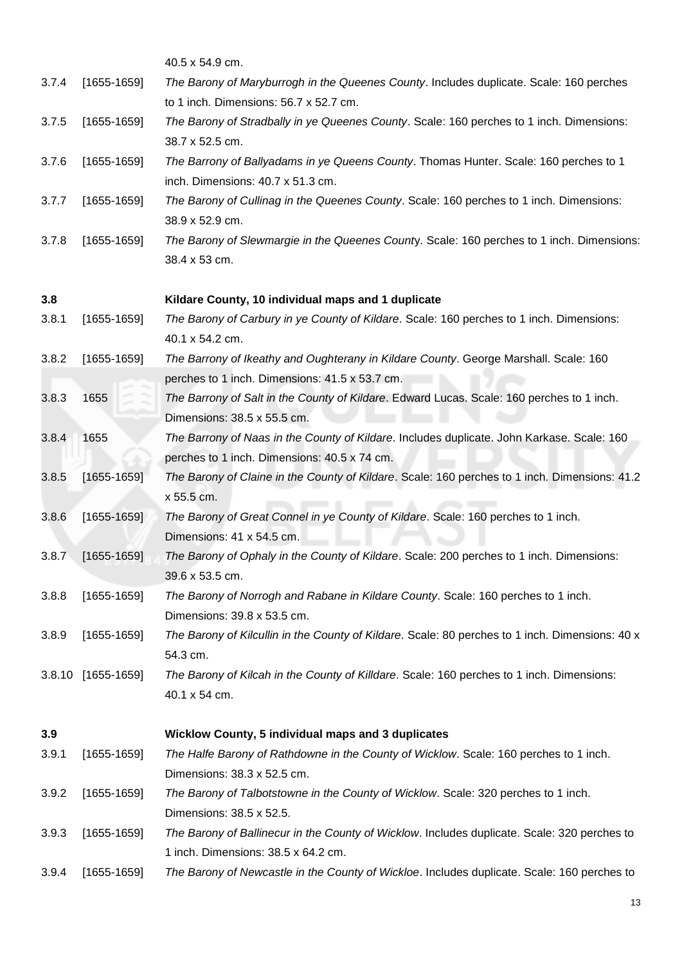<span id="page-12-1"></span><span id="page-12-0"></span>

|       |                    | 40.5 x 54.9 cm.                                                                                             |
|-------|--------------------|-------------------------------------------------------------------------------------------------------------|
| 3.7.4 | $[1655-1659]$      | The Barony of Maryburrogh in the Queenes County. Includes duplicate. Scale: 160 perches                     |
|       |                    | to 1 inch. Dimensions: 56.7 x 52.7 cm.                                                                      |
| 3.7.5 | $[1655-1659]$      | The Barony of Stradbally in ye Queenes County. Scale: 160 perches to 1 inch. Dimensions:<br>38.7 x 52.5 cm. |
| 3.7.6 | $[1655-1659]$      | The Barrony of Ballyadams in ye Queens County. Thomas Hunter. Scale: 160 perches to 1                       |
|       |                    | inch. Dimensions: 40.7 x 51.3 cm.                                                                           |
| 3.7.7 | $[1655-1659]$      | The Barony of Cullinag in the Queenes County. Scale: 160 perches to 1 inch. Dimensions:<br>38.9 x 52.9 cm.  |
| 3.7.8 | $[1655-1659]$      | The Barony of Slewmargie in the Queenes County. Scale: 160 perches to 1 inch. Dimensions:<br>38.4 x 53 cm.  |
| 3.8   |                    | Kildare County, 10 individual maps and 1 duplicate                                                          |
| 3.8.1 | $[1655-1659]$      | The Barony of Carbury in ye County of Kildare. Scale: 160 perches to 1 inch. Dimensions:<br>40.1 x 54.2 cm. |
| 3.8.2 | $[1655-1659]$      | The Barrony of Ikeathy and Oughterany in Kildare County. George Marshall. Scale: 160                        |
|       |                    | perches to 1 inch. Dimensions: 41.5 x 53.7 cm.                                                              |
| 3.8.3 | 1655               | The Barrony of Salt in the County of Kildare. Edward Lucas. Scale: 160 perches to 1 inch.                   |
|       |                    | Dimensions: 38.5 x 55.5 cm.                                                                                 |
| 3.8.4 | 1655               | The Barrony of Naas in the County of Kildare. Includes duplicate. John Karkase. Scale: 160                  |
|       |                    | perches to 1 inch. Dimensions: 40.5 x 74 cm.                                                                |
| 3.8.5 | $[1655-1659]$      | The Barony of Claine in the County of Kildare. Scale: 160 perches to 1 inch. Dimensions: 41.2<br>x 55.5 cm. |
| 3.8.6 | $[1655-1659]$      | The Barony of Great Connel in ye County of Kildare. Scale: 160 perches to 1 inch.                           |
|       |                    | Dimensions: 41 x 54.5 cm.                                                                                   |
| 3.8.7 | $[1655-1659]$      | The Barony of Ophaly in the County of Kildare. Scale: 200 perches to 1 inch. Dimensions:                    |
|       |                    | 39.6 x 53.5 cm.                                                                                             |
| 3.8.8 | $[1655-1659]$      | The Barony of Norrogh and Rabane in Kildare County. Scale: 160 perches to 1 inch.                           |
|       |                    | Dimensions: 39.8 x 53.5 cm.                                                                                 |
| 3.8.9 | $[1655-1659]$      | The Barony of Kilcullin in the County of Kildare. Scale: 80 perches to 1 inch. Dimensions: 40 x<br>54.3 cm. |
|       | 3.8.10 [1655-1659] | The Barony of Kilcah in the County of Killdare. Scale: 160 perches to 1 inch. Dimensions:                   |
|       |                    | 40.1 x 54 cm.                                                                                               |
| 3.9   |                    | <b>Wicklow County, 5 individual maps and 3 duplicates</b>                                                   |
| 3.9.1 | $[1655-1659]$      | The Halfe Barony of Rathdowne in the County of Wicklow. Scale: 160 perches to 1 inch.                       |
|       |                    | Dimensions: 38.3 x 52.5 cm.                                                                                 |
| 3.9.2 | $[1655-1659]$      | The Barony of Talbotstowne in the County of Wicklow. Scale: 320 perches to 1 inch.                          |
|       |                    | Dimensions: 38.5 x 52.5.                                                                                    |
| 3.9.3 | $[1655-1659]$      | The Barony of Ballinecur in the County of Wicklow. Includes duplicate. Scale: 320 perches to                |
|       |                    | 1 inch. Dimensions: 38.5 x 64.2 cm.                                                                         |
| 3.9.4 | $[1655-1659]$      | The Barony of Newcastle in the County of Wickloe. Includes duplicate. Scale: 160 perches to                 |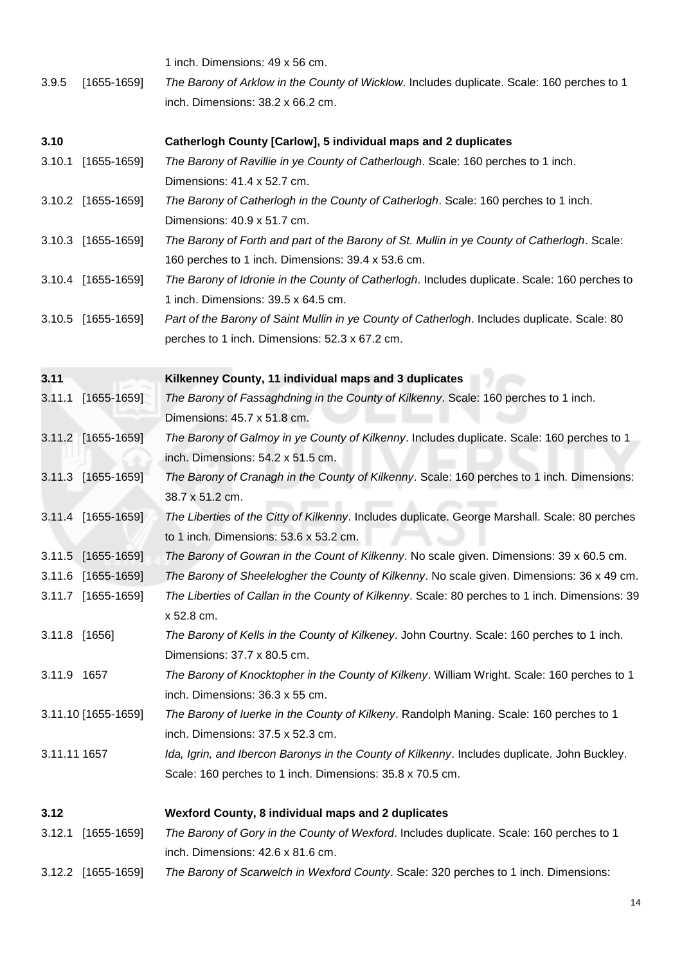<span id="page-13-4"></span><span id="page-13-3"></span><span id="page-13-2"></span><span id="page-13-1"></span><span id="page-13-0"></span>

|              |                     | 1 inch. Dimensions: 49 x 56 cm.                                                                                                                           |
|--------------|---------------------|-----------------------------------------------------------------------------------------------------------------------------------------------------------|
| 3.9.5        | $[1655-1659]$       | The Barony of Arklow in the County of Wicklow. Includes duplicate. Scale: 160 perches to 1                                                                |
|              |                     | inch. Dimensions: 38.2 x 66.2 cm.                                                                                                                         |
| 3.10         |                     | Catherlogh County [Carlow], 5 individual maps and 2 duplicates                                                                                            |
| 3.10.1       | $[1655-1659]$       | The Barony of Ravillie in ye County of Catherlough. Scale: 160 perches to 1 inch.<br>Dimensions: 41.4 x 52.7 cm.                                          |
|              | 3.10.2 [1655-1659]  | The Barony of Catherlogh in the County of Catherlogh. Scale: 160 perches to 1 inch.<br>Dimensions: 40.9 x 51.7 cm.                                        |
|              | 3.10.3 [1655-1659]  | The Barony of Forth and part of the Barony of St. Mullin in ye County of Catherlogh. Scale:<br>160 perches to 1 inch. Dimensions: 39.4 x 53.6 cm.         |
|              | 3.10.4 [1655-1659]  | The Barony of Idronie in the County of Catherlogh. Includes duplicate. Scale: 160 perches to<br>1 inch. Dimensions: 39.5 x 64.5 cm.                       |
|              | 3.10.5 [1655-1659]  | Part of the Barony of Saint Mullin in ye County of Catherlogh. Includes duplicate. Scale: 80<br>perches to 1 inch. Dimensions: 52.3 x 67.2 cm.            |
| 3.11         |                     | Kilkenney County, 11 individual maps and 3 duplicates                                                                                                     |
| 3.11.1       | $[1655 - 1659]$     | The Barony of Fassaghdning in the County of Kilkenny. Scale: 160 perches to 1 inch.<br>Dimensions: 45.7 x 51.8 cm.                                        |
|              | 3.11.2 [1655-1659]  | The Barony of Galmoy in ye County of Kilkenny. Includes duplicate. Scale: 160 perches to 1<br>inch. Dimensions: 54.2 x 51.5 cm.                           |
|              | 3.11.3 [1655-1659]  | The Barony of Cranagh in the County of Kilkenny. Scale: 160 perches to 1 inch. Dimensions:<br>38.7 x 51.2 cm.                                             |
|              | 3.11.4 [1655-1659]  | The Liberties of the Citty of Kilkenny. Includes duplicate. George Marshall. Scale: 80 perches<br>to 1 inch. Dimensions: 53.6 x 53.2 cm.                  |
|              | 3.11.5 [1655-1659]  | The Barony of Gowran in the Count of Kilkenny. No scale given. Dimensions: 39 x 60.5 cm.                                                                  |
|              | 3.11.6 [1655-1659]  | The Barony of Sheelelogher the County of Kilkenny. No scale given. Dimensions: 36 x 49 cm.                                                                |
|              | 3.11.7 [1655-1659]  | The Liberties of Callan in the County of Kilkenny. Scale: 80 perches to 1 inch. Dimensions: 39<br>x 52.8 cm.                                              |
|              | 3.11.8 [1656]       | The Barony of Kells in the County of Kilkeney. John Courtny. Scale: 160 perches to 1 inch.<br>Dimensions: 37.7 x 80.5 cm.                                 |
| 3.11.9 1657  |                     | The Barony of Knocktopher in the County of Kilkeny. William Wright. Scale: 160 perches to 1<br>inch. Dimensions: 36.3 x 55 cm.                            |
|              | 3.11.10 [1655-1659] | The Barony of luerke in the County of Kilkeny. Randolph Maning. Scale: 160 perches to 1<br>inch. Dimensions: 37.5 x 52.3 cm.                              |
| 3.11.11 1657 |                     | Ida, Igrin, and Ibercon Baronys in the County of Kilkenny. Includes duplicate. John Buckley.<br>Scale: 160 perches to 1 inch. Dimensions: 35.8 x 70.5 cm. |
| 3.12         |                     | Wexford County, 8 individual maps and 2 duplicates                                                                                                        |
| 3.12.1       | $[1655-1659]$       | The Barony of Gory in the County of Wexford. Includes duplicate. Scale: 160 perches to 1<br>inch. Dimensions: 42.6 x 81.6 cm.                             |
|              | 3.12.2 [1655-1659]  | The Barony of Scarwelch in Wexford County. Scale: 320 perches to 1 inch. Dimensions:                                                                      |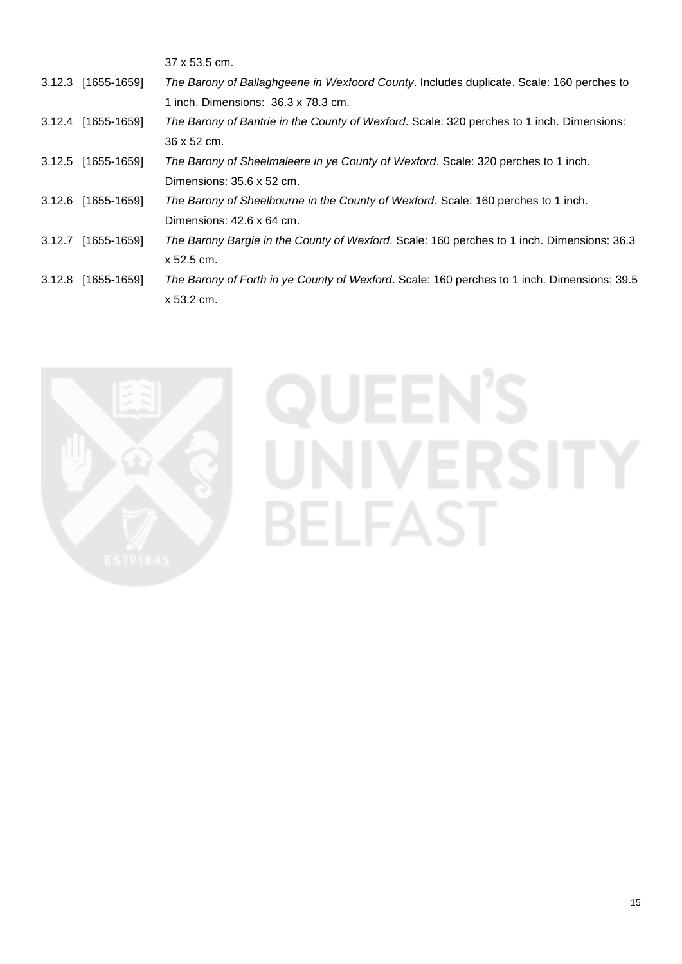|                    | 37 x 53.5 cm.                                                                               |
|--------------------|---------------------------------------------------------------------------------------------|
| 3.12.3 [1655-1659] | The Barony of Ballaghgeene in Wexfoord County. Includes duplicate. Scale: 160 perches to    |
|                    | 1 inch. Dimensions: 36.3 x 78.3 cm.                                                         |
| 3.12.4 [1655-1659] | The Barony of Bantrie in the County of Wexford. Scale: 320 perches to 1 inch. Dimensions:   |
|                    | 36 x 52 cm.                                                                                 |
| 3.12.5 [1655-1659] | The Barony of Sheelmaleere in ye County of Wexford. Scale: 320 perches to 1 inch.           |
|                    | Dimensions: 35.6 x 52 cm.                                                                   |
| 3.12.6 [1655-1659] | The Barony of Sheelbourne in the County of Wexford. Scale: 160 perches to 1 inch.           |
|                    | Dimensions: 42.6 x 64 cm.                                                                   |
| 3.12.7 [1655-1659] | The Barony Bargie in the County of Wexford. Scale: 160 perches to 1 inch. Dimensions: 36.3  |
|                    | x 52.5 cm.                                                                                  |
| 3.12.8 [1655-1659] | The Barony of Forth in ye County of Wexford. Scale: 160 perches to 1 inch. Dimensions: 39.5 |
|                    | x 53.2 cm.                                                                                  |



## **QUEEN'S** UNIVERSITY **BELFAST**